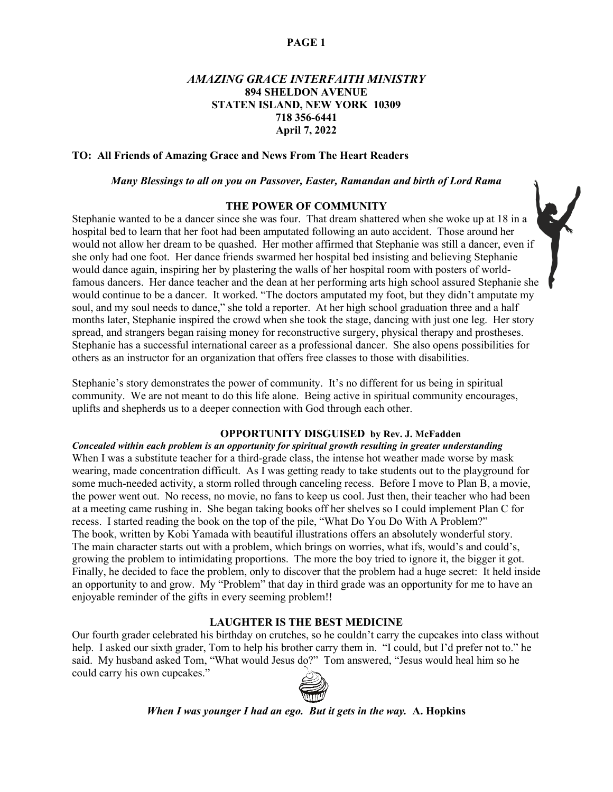# *AMAZING GRACE INTERFAITH MINISTRY* **894 SHELDON AVENUE STATEN ISLAND, NEW YORK 10309 718 356-6441 April 7, 2022**

## **TO: All Friends of Amazing Grace and News From The Heart Readers**

# *Many Blessings to all on you on Passover, Easter, Ramandan and birth of Lord Rama*

# **THE POWER OF COMMUNITY**

Stephanie wanted to be a dancer since she was four. That dream shattered when she woke up at 18 in a hospital bed to learn that her foot had been amputated following an auto accident. Those around her would not allow her dream to be quashed. Her mother affirmed that Stephanie was still a dancer, even if she only had one foot. Her dance friends swarmed her hospital bed insisting and believing Stephanie would dance again, inspiring her by plastering the walls of her hospital room with posters of worldfamous dancers. Her dance teacher and the dean at her performing arts high school assured Stephanie she would continue to be a dancer. It worked. "The doctors amputated my foot, but they didn't amputate my soul, and my soul needs to dance," she told a reporter. At her high school graduation three and a half months later, Stephanie inspired the crowd when she took the stage, dancing with just one leg. Her story spread, and strangers began raising money for reconstructive surgery, physical therapy and prostheses. Stephanie has a successful international career as a professional dancer. She also opens possibilities for others as an instructor for an organization that offers free classes to those with disabilities.

Stephanie's story demonstrates the power of community. It's no different for us being in spiritual community. We are not meant to do this life alone. Being active in spiritual community encourages, uplifts and shepherds us to a deeper connection with God through each other.

#### **OPPORTUNITY DISGUISED by Rev. J. McFadden**

*Concealed within each problem is an opportunity for spiritual growth resulting in greater understanding* When I was a substitute teacher for a third-grade class, the intense hot weather made worse by mask wearing, made concentration difficult. As I was getting ready to take students out to the playground for some much-needed activity, a storm rolled through canceling recess. Before I move to Plan B, a movie, the power went out. No recess, no movie, no fans to keep us cool. Just then, their teacher who had been at a meeting came rushing in. She began taking books off her shelves so I could implement Plan C for recess. I started reading the book on the top of the pile, "What Do You Do With A Problem?" The book, written by Kobi Yamada with beautiful illustrations offers an absolutely wonderful story. The main character starts out with a problem, which brings on worries, what ifs, would's and could's, growing the problem to intimidating proportions. The more the boy tried to ignore it, the bigger it got. Finally, he decided to face the problem, only to discover that the problem had a huge secret: It held inside an opportunity to and grow. My "Problem" that day in third grade was an opportunity for me to have an enjoyable reminder of the gifts in every seeming problem!!

# **LAUGHTER IS THE BEST MEDICINE**

Our fourth grader celebrated his birthday on crutches, so he couldn't carry the cupcakes into class without help. I asked our sixth grader, Tom to help his brother carry them in. "I could, but I'd prefer not to." he said. My husband asked Tom, "What would Jesus do?" Tom answered, "Jesus would heal him so he could carry his own cupcakes."



*When I was younger I had an ego. But it gets in the way.* **A. Hopkins**

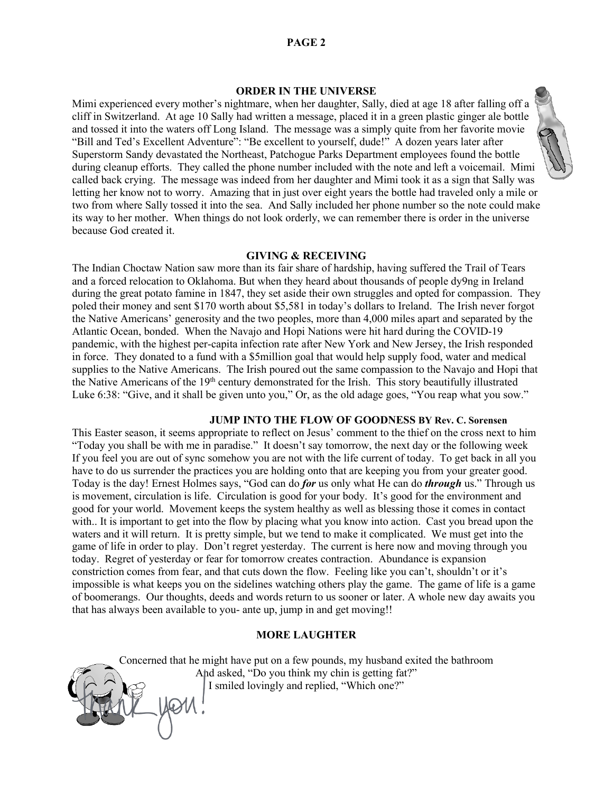# **ORDER IN THE UNIVERSE**

Mimi experienced every mother's nightmare, when her daughter, Sally, died at age 18 after falling off a cliff in Switzerland. At age 10 Sally had written a message, placed it in a green plastic ginger ale bottle and tossed it into the waters off Long Island. The message was a simply quite from her favorite movie "Bill and Ted's Excellent Adventure": "Be excellent to yourself, dude!" A dozen years later after Superstorm Sandy devastated the Northeast, Patchogue Parks Department employees found the bottle during cleanup efforts. They called the phone number included with the note and left a voicemail. Mimi called back crying. The message was indeed from her daughter and Mimi took it as a sign that Sally was letting her know not to worry. Amazing that in just over eight years the bottle had traveled only a mile or two from where Sally tossed it into the sea. And Sally included her phone number so the note could make its way to her mother. When things do not look orderly, we can remember there is order in the universe because God created it.

#### **GIVING & RECEIVING**

The Indian Choctaw Nation saw more than its fair share of hardship, having suffered the Trail of Tears and a forced relocation to Oklahoma. But when they heard about thousands of people dy9ng in Ireland during the great potato famine in 1847, they set aside their own struggles and opted for compassion. They poled their money and sent \$170 worth about \$5,581 in today's dollars to Ireland. The Irish never forgot the Native Americans' generosity and the two peoples, more than 4,000 miles apart and separated by the Atlantic Ocean, bonded. When the Navajo and Hopi Nations were hit hard during the COVID-19 pandemic, with the highest per-capita infection rate after New York and New Jersey, the Irish responded in force. They donated to a fund with a \$5million goal that would help supply food, water and medical supplies to the Native Americans. The Irish poured out the same compassion to the Navajo and Hopi that the Native Americans of the 19<sup>th</sup> century demonstrated for the Irish. This story beautifully illustrated Luke 6:38: "Give, and it shall be given unto you," Or, as the old adage goes, "You reap what you sow."

# **JUMP INTO THE FLOW OF GOODNESS BY Rev. C. Sorensen**

This Easter season, it seems appropriate to reflect on Jesus' comment to the thief on the cross next to him "Today you shall be with me in paradise." It doesn't say tomorrow, the next day or the following week If you feel you are out of sync somehow you are not with the life current of today. To get back in all you have to do us surrender the practices you are holding onto that are keeping you from your greater good. Today is the day! Ernest Holmes says, "God can do *for* us only what He can do *through* us." Through us is movement, circulation is life. Circulation is good for your body. It's good for the environment and good for your world. Movement keeps the system healthy as well as blessing those it comes in contact with.. It is important to get into the flow by placing what you know into action. Cast you bread upon the waters and it will return. It is pretty simple, but we tend to make it complicated. We must get into the game of life in order to play. Don't regret yesterday. The current is here now and moving through you today. Regret of yesterday or fear for tomorrow creates contraction. Abundance is expansion constriction comes from fear, and that cuts down the flow. Feeling like you can't, shouldn't or it's impossible is what keeps you on the sidelines watching others play the game. The game of life is a game of boomerangs. Our thoughts, deeds and words return to us sooner or later. A whole new day awaits you that has always been available to you- ante up, jump in and get moving!!

### **MORE LAUGHTER**

Concerned that he might have put on a few pounds, my husband exited the bathroom And asked, "Do you think my chin is getting fat?" I smiled lovingly and replied, "Which one?"

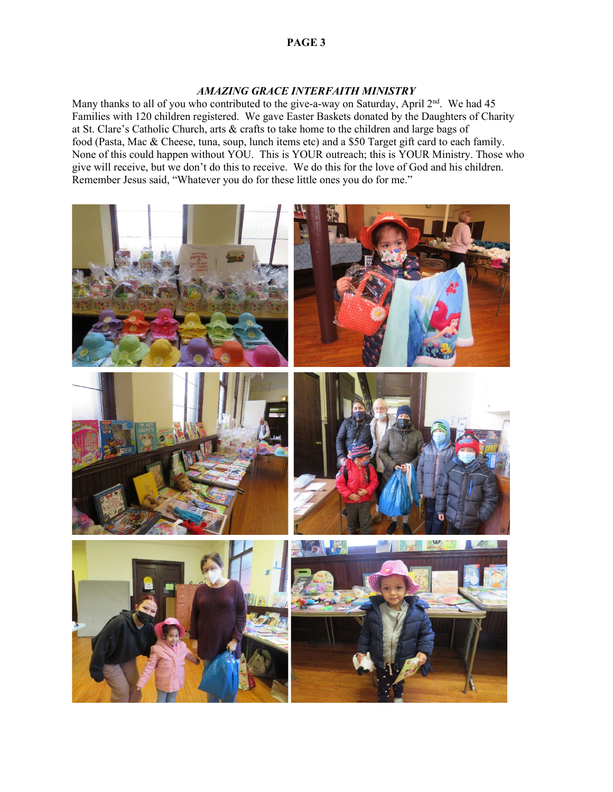# *AMAZING GRACE INTERFAITH MINISTRY*

Many thanks to all of you who contributed to the give-a-way on Saturday, April 2<sup>nd</sup>. We had 45 Families with 120 children registered. We gave Easter Baskets donated by the Daughters of Charity at St. Clare's Catholic Church, arts & crafts to take home to the children and large bags of food (Pasta, Mac & Cheese, tuna, soup, lunch items etc) and a \$50 Target gift card to each family. None of this could happen without YOU. This is YOUR outreach; this is YOUR Ministry. Those who give will receive, but we don't do this to receive. We do this for the love of God and his children. Remember Jesus said, "Whatever you do for these little ones you do for me."

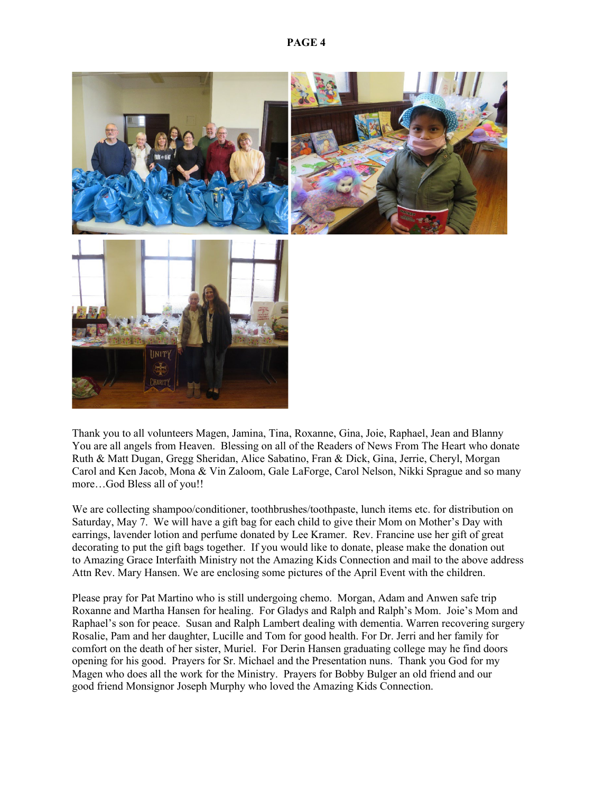

Thank you to all volunteers Magen, Jamina, Tina, Roxanne, Gina, Joie, Raphael, Jean and Blanny You are all angels from Heaven. Blessing on all of the Readers of News From The Heart who donate Ruth & Matt Dugan, Gregg Sheridan, Alice Sabatino, Fran & Dick, Gina, Jerrie, Cheryl, Morgan Carol and Ken Jacob, Mona & Vin Zaloom, Gale LaForge, Carol Nelson, Nikki Sprague and so many more…God Bless all of you!!

We are collecting shampoo/conditioner, toothbrushes/toothpaste, lunch items etc. for distribution on Saturday, May 7. We will have a gift bag for each child to give their Mom on Mother's Day with earrings, lavender lotion and perfume donated by Lee Kramer. Rev. Francine use her gift of great decorating to put the gift bags together. If you would like to donate, please make the donation out to Amazing Grace Interfaith Ministry not the Amazing Kids Connection and mail to the above address Attn Rev. Mary Hansen. We are enclosing some pictures of the April Event with the children.

Please pray for Pat Martino who is still undergoing chemo. Morgan, Adam and Anwen safe trip Roxanne and Martha Hansen for healing. For Gladys and Ralph and Ralph's Mom. Joie's Mom and Raphael's son for peace. Susan and Ralph Lambert dealing with dementia. Warren recovering surgery Rosalie, Pam and her daughter, Lucille and Tom for good health. For Dr. Jerri and her family for comfort on the death of her sister, Muriel. For Derin Hansen graduating college may he find doors opening for his good. Prayers for Sr. Michael and the Presentation nuns. Thank you God for my Magen who does all the work for the Ministry. Prayers for Bobby Bulger an old friend and our good friend Monsignor Joseph Murphy who loved the Amazing Kids Connection.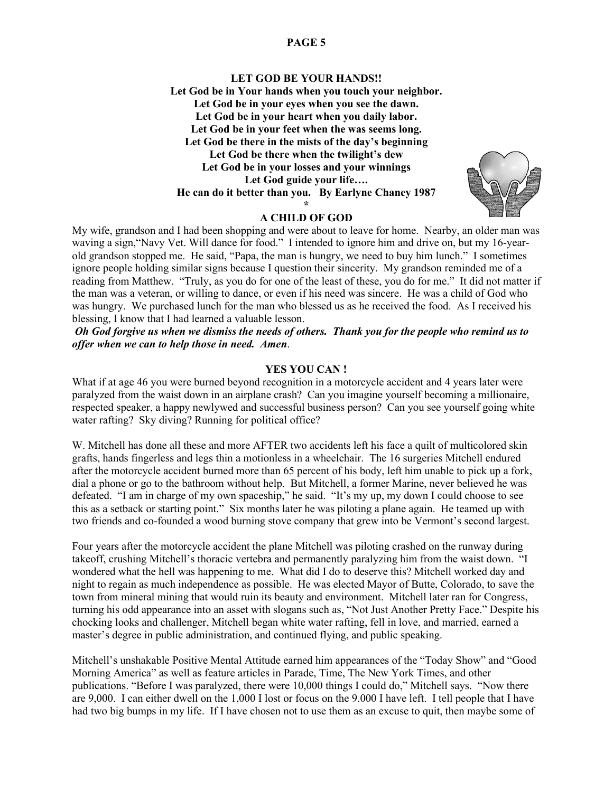# **LET GOD BE YOUR HANDS!! Let God be in Your hands when you touch your neighbor. Let God be in your eyes when you see the dawn. Let God be in your heart when you daily labor. Let God be in your feet when the was seems long. Let God be there in the mists of the day's beginning Let God be there when the twilight's dew Let God be in your losses and your winnings Let God guide your life…. He can do it better than you. By Earlyne Chaney 1987 \***

# **A CHILD OF GOD**

My wife, grandson and I had been shopping and were about to leave for home. Nearby, an older man was waving a sign,"Navy Vet. Will dance for food." I intended to ignore him and drive on, but my 16-yearold grandson stopped me. He said, "Papa, the man is hungry, we need to buy him lunch." I sometimes ignore people holding similar signs because I question their sincerity. My grandson reminded me of a reading from Matthew. "Truly, as you do for one of the least of these, you do for me." It did not matter if the man was a veteran, or willing to dance, or even if his need was sincere. He was a child of God who was hungry. We purchased lunch for the man who blessed us as he received the food. As I received his blessing, I know that I had learned a valuable lesson.

*Oh God forgive us when we dismiss the needs of others. Thank you for the people who remind us to offer when we can to help those in need. Amen*.

# **YES YOU CAN !**

What if at age 46 you were burned beyond recognition in a motorcycle accident and 4 years later were paralyzed from the waist down in an airplane crash? Can you imagine yourself becoming a millionaire, respected speaker, a happy newlywed and successful business person? Can you see yourself going white water rafting? Sky diving? Running for political office?

W. Mitchell has done all these and more AFTER two accidents left his face a quilt of multicolored skin grafts, hands fingerless and legs thin a motionless in a wheelchair. The 16 surgeries Mitchell endured after the motorcycle accident burned more than 65 percent of his body, left him unable to pick up a fork, dial a phone or go to the bathroom without help. But Mitchell, a former Marine, never believed he was defeated. "I am in charge of my own spaceship," he said. "It's my up, my down I could choose to see this as a setback or starting point." Six months later he was piloting a plane again. He teamed up with two friends and co-founded a wood burning stove company that grew into be Vermont's second largest.

Four years after the motorcycle accident the plane Mitchell was piloting crashed on the runway during takeoff, crushing Mitchell's thoracic vertebra and permanently paralyzing him from the waist down. "I wondered what the hell was happening to me. What did I do to deserve this? Mitchell worked day and night to regain as much independence as possible. He was elected Mayor of Butte, Colorado, to save the town from mineral mining that would ruin its beauty and environment. Mitchell later ran for Congress, turning his odd appearance into an asset with slogans such as, "Not Just Another Pretty Face." Despite his chocking looks and challenger, Mitchell began white water rafting, fell in love, and married, earned a master's degree in public administration, and continued flying, and public speaking.

Mitchell's unshakable Positive Mental Attitude earned him appearances of the "Today Show" and "Good Morning America" as well as feature articles in Parade, Time, The New York Times, and other publications. "Before I was paralyzed, there were 10,000 things I could do," Mitchell says. "Now there are 9,000. I can either dwell on the 1,000 I lost or focus on the 9.000 I have left. I tell people that I have had two big bumps in my life. If I have chosen not to use them as an excuse to quit, then maybe some of